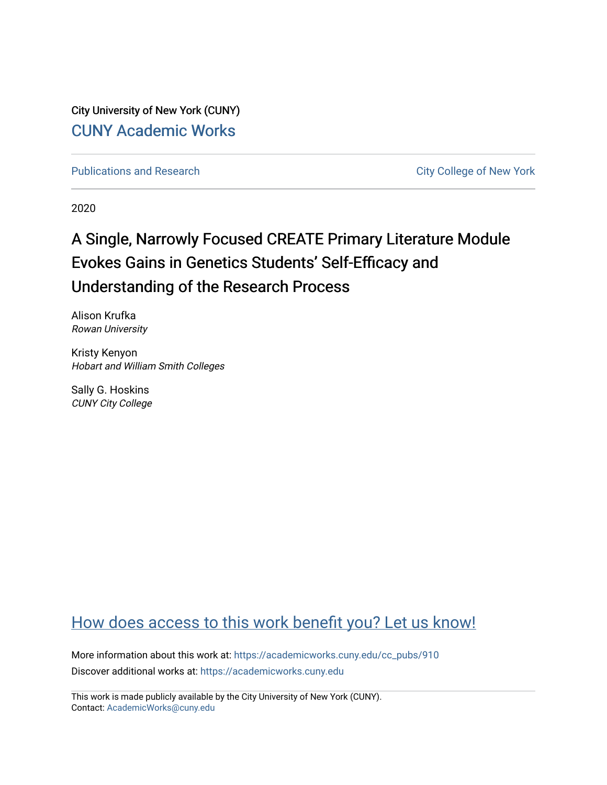City University of New York (CUNY) [CUNY Academic Works](https://academicworks.cuny.edu/) 

[Publications and Research](https://academicworks.cuny.edu/cc_pubs) **City College of New York** Publications and Research

2020

# A Single, Narrowly Focused CREATE Primary Literature Module Evokes Gains in Genetics Students' Self-Efficacy and Understanding of the Research Process

Alison Krufka Rowan University

Kristy Kenyon Hobart and William Smith Colleges

Sally G. Hoskins CUNY City College

# [How does access to this work benefit you? Let us know!](http://ols.cuny.edu/academicworks/?ref=https://academicworks.cuny.edu/cc_pubs/910)

More information about this work at: [https://academicworks.cuny.edu/cc\\_pubs/910](https://academicworks.cuny.edu/cc_pubs/910)  Discover additional works at: [https://academicworks.cuny.edu](https://academicworks.cuny.edu/?)

This work is made publicly available by the City University of New York (CUNY). Contact: [AcademicWorks@cuny.edu](mailto:AcademicWorks@cuny.edu)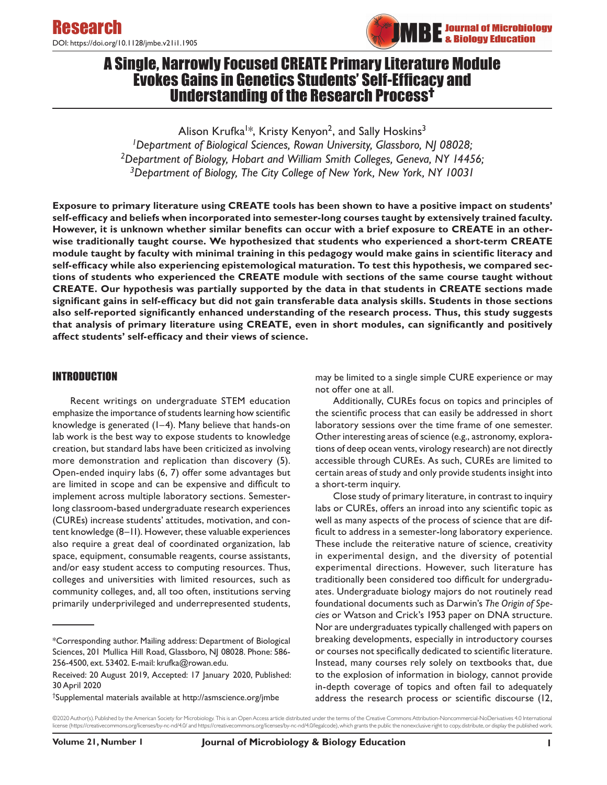

# A Single, Narrowly Focused CREATE Primary Literature Module Evokes Gains in Genetics Students' Self-Efficacy and Understanding of the Research Process†

Alison Krufka<sup>1</sup>\*, Kristy Kenyon<sup>2</sup>, and Sally Hoskins<sup>3</sup> *1Department of Biological Sciences, Rowan University, Glassboro, NJ 08028; 2Department of Biology, Hobart and William Smith Colleges, Geneva, NY 14456; 3Department of Biology, The City College of New York, New York, NY 10031*

**Exposure to primary literature using CREATE tools has been shown to have a positive impact on students' self-efficacy and beliefs when incorporated into semester-long courses taught by extensively trained faculty. However, it is unknown whether similar benefits can occur with a brief exposure to CREATE in an otherwise traditionally taught course. We hypothesized that students who experienced a short-term CREATE module taught by faculty with minimal training in this pedagogy would make gains in scientific literacy and self-efficacy while also experiencing epistemological maturation. To test this hypothesis, we compared sections of students who experienced the CREATE module with sections of the same course taught without CREATE. Our hypothesis was partially supported by the data in that students in CREATE sections made significant gains in self-efficacy but did not gain transferable data analysis skills. Students in those sections also self-reported significantly enhanced understanding of the research process. Thus, this study suggests that analysis of primary literature using CREATE, even in short modules, can significantly and positively affect students' self-efficacy and their views of science.**

# INTRODUCTION

Recent writings on undergraduate STEM education emphasize the importance of students learning how scientific knowledge is generated (1–4). Many believe that hands-on lab work is the best way to expose students to knowledge creation, but standard labs have been criticized as involving more demonstration and replication than discovery (5). Open-ended inquiry labs (6, 7) offer some advantages but are limited in scope and can be expensive and difficult to implement across multiple laboratory sections. Semesterlong classroom-based undergraduate research experiences (CUREs) increase students' attitudes, motivation, and content knowledge (8–11). However, these valuable experiences also require a great deal of coordinated organization, lab space, equipment, consumable reagents, course assistants, and/or easy student access to computing resources. Thus, colleges and universities with limited resources, such as community colleges, and, all too often, institutions serving primarily underprivileged and underrepresented students, may be limited to a single simple CURE experience or may not offer one at all.

Additionally, CUREs focus on topics and principles of the scientific process that can easily be addressed in short laboratory sessions over the time frame of one semester. Other interesting areas of science (e.g., astronomy, explorations of deep ocean vents, virology research) are not directly accessible through CUREs. As such, CUREs are limited to certain areas of study and only provide students insight into a short-term inquiry.

Close study of primary literature, in contrast to inquiry labs or CUREs, offers an inroad into any scientific topic as well as many aspects of the process of science that are difficult to address in a semester-long laboratory experience. These include the reiterative nature of science, creativity in experimental design, and the diversity of potential experimental directions. However, such literature has traditionally been considered too difficult for undergraduates. Undergraduate biology majors do not routinely read foundational documents such as Darwin's *The Origin of Species* or Watson and Crick's 1953 paper on DNA structure. Nor are undergraduates typically challenged with papers on breaking developments, especially in introductory courses or courses not specifically dedicated to scientific literature. Instead, many courses rely solely on textbooks that, due to the explosion of information in biology, cannot provide in-depth coverage of topics and often fail to adequately address the research process or scientific discourse (12,

<sup>\*</sup>Corresponding author. Mailing address: Department of Biological Sciences, 201 Mullica Hill Road, Glassboro, NJ 08028. Phone: 586- 256-4500, ext. 53402. E-mail: krufka@rowan.edu.

Received: 20 August 2019, Accepted: 17 January 2020, Published: 30 April 2020

<sup>†</sup>Supplemental materials available at http://asmscience.org/jmbe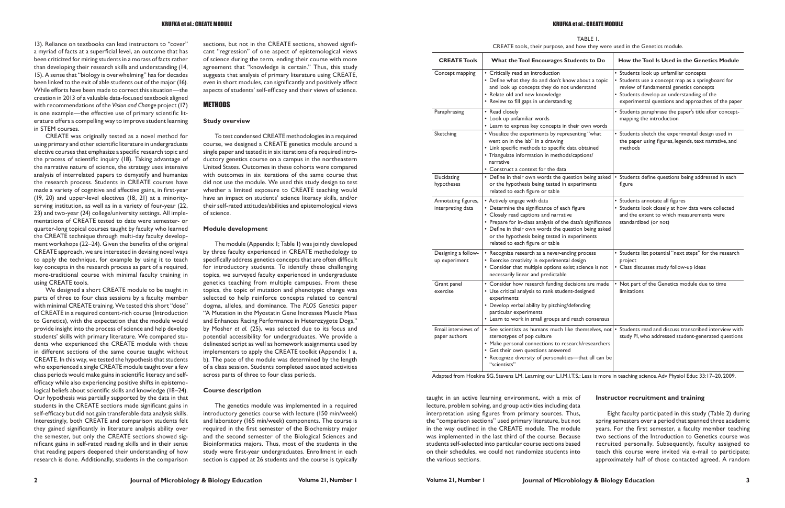# **Journal of Microbiology & Biology Education Journal of Microbiology & Biology Education**

13). Reliance on textbooks can lead instructors to "cover" a myriad of facts at a superficial level, an outcome that has been criticized for miring students in a morass of facts rather than developing their research skills and understanding (14, 15). A sense that "biology is overwhelming" has for decades been linked to the exit of able students out of the major (16). While efforts have been made to correct this situation—the creation in 2013 of a valuable data-focused textbook aligned with recommendations of the *Vision and Change* project (17) is one example—the effective use of primary scientific literature offers a compelling way to improve student learning in STEM courses.

CREATE was originally tested as a novel method for using primary and other scientific literature in undergraduate elective courses that emphasize a specific research topic and the process of scientific inquiry (18). Taking advantage of the narrative nature of science, the strategy uses intensive analysis of interrelated papers to demystify and humanize the research process. Students in CREATE courses have made a variety of cognitive and affective gains, in first-year (19, 20) and upper-level electives (18, 21) at a minorityserving institution, as well as in a variety of four-year (22, 23) and two-year (24) college/university settings. All implementations of CREATE tested to date were semester- or quarter-long topical courses taught by faculty who learned the CREATE technique through multi-day faculty development workshops (22–24). Given the benefits of the original CREATE approach, we are interested in devising novel ways to apply the technique, for example by using it to teach key concepts in the research process as part of a required, more-traditional course with minimal faculty training in using CREATE tools.

We designed a short CREATE module to be taught in parts of three to four class sessions by a faculty member with minimal CREATE training. We tested this short "dose" of CREATE in a required content-rich course (Introduction to Genetics), with the expectation that the module would provide insight into the process of science and help develop students' skills with primary literature. We compared students who experienced the CREATE module with those in different sections of the same course taught without CREATE. In this way, we tested the hypothesis that students who experienced a single CREATE module taught over a few class periods would make gains in scientific literacy and selfefficacy while also experiencing positive shifts in epistemological beliefs about scientific skills and knowledge (18–24). Our hypothesis was partially supported by the data in that students in the CREATE sections made significant gains in self-efficacy but did not gain transferable data analysis skills. Interestingly, both CREATE and comparison students felt they gained significantly in literature analysis ability over the semester, but only the CREATE sections showed significant gains in self-rated reading skills and in their sense that reading papers deepened their understanding of how research is done. Additionally, students in the comparison

sections, but not in the CREATE sections, showed significant "regression" of one aspect of epistemological views of science during the term, ending their course with more agreement that "knowledge is certain." Thus, this study suggests that analysis of primary literature using CREATE, even in short modules, can significantly and positively affect aspects of students' self-efficacy and their views of science.

# **METHODS**

## **Study overview**

To test condensed CREATE methodologies in a required course, we designed a CREATE genetics module around a single paper and tested it in six iterations of a required introductory genetics course on a campus in the northeastern United States. Outcomes in these cohorts were compared with outcomes in six iterations of the same course that did not use the module. We used this study design to test whether a limited exposure to CREATE teaching would have an impact on students' science literacy skills, and/or their self-rated attitudes/abilities and epistemological views of science.

### **Module development**

The module (Appendix 1; Table 1) was jointly developed by three faculty experienced in CREATE methodology to specifically address genetics concepts that are often difficult for introductory students. To identify these challenging topics, we surveyed faculty experienced in undergraduate genetics teaching from multiple campuses. From these topics, the topic of mutation and phenotypic change was selected to help reinforce concepts related to central dogma, alleles, and dominance. The *PLOS Genetics* paper "A Mutation in the Myostatin Gene Increases Muscle Mass and Enhances Racing Performance in Heterozygote Dogs," by Mosher *et al.* (25), was selected due to its focus and potential accessibility for undergraduates. We provide a delineated script as well as homework assignments used by implementers to apply the CREATE toolkit (Appendix 1 a, b). The pace of the module was determined by the length of a class session. Students completed associated activities across parts of three to four class periods.

#### **Course description**

The genetics module was implemented in a required introductory genetics course with lecture (150 min/week) and laboratory (165 min/week) components. The course is required in the first semester of the Biochemistry major and the second semester of the Biological Sciences and Bioinformatics majors. Thus, most of the students in the study were first-year undergraduates. Enrollment in each section is capped at 26 students and the course is typically

taught in an active learning environment, with a mix of lecture, problem solving, and group activities including data interpretation using figures from primary sources. Thus, the "comparison sections" used primary literature, but not in the way outlined in the CREATE module. The module was implemented in the last third of the course. Because students self-selected into particular course sections based on their schedules, we could not randomize students into the various sections. Eight faculty participated in this study (Table 2) during spring semesters over a period that spanned three academic years. For the first semester, a faculty member teaching two sections of the Introduction to Genetics course was recruited personally. Subsequently, faculty assigned to teach this course were invited via e-mail to participate; approximately half of those contacted agreed. A random

# **Instructor recruitment and training**

### TABLE 1.

CREATE tools, their purpose, and how they were used in the Genetics module.

| <b>CREATE Tools</b>                      | What the Tool Encourages Students to Do                                                                                                                                                                                                                                                                                       | <b>How the Tool Is Used in the Genetics Module</b>                                                                                                                                                                                         |  |  |
|------------------------------------------|-------------------------------------------------------------------------------------------------------------------------------------------------------------------------------------------------------------------------------------------------------------------------------------------------------------------------------|--------------------------------------------------------------------------------------------------------------------------------------------------------------------------------------------------------------------------------------------|--|--|
| Concept mapping                          | • Critically read an introduction<br>• Define what they do and don't know about a topic<br>and look up concepts they do not understand<br>• Relate old and new knowledge<br>• Review to fill gaps in understanding                                                                                                            | • Students look up unfamiliar concepts<br>• Students use a concept map as a springboard for<br>review of fundamental genetics concepts<br>• Students develop an understanding of the<br>experimental questions and approaches of the paper |  |  |
| Paraphrasing                             | • Read closely<br>· Look up unfamiliar words<br>• Learn to express key concepts in their own words                                                                                                                                                                                                                            | • Students paraphrase the paper's title after concept-<br>mapping the introduction                                                                                                                                                         |  |  |
| Sketching                                | • Visualize the experiments by representing "what<br>went on in the lab" in a drawing<br>• Link specific methods to specific data obtained<br>• Triangulate information in methods/captions/<br>narrative<br>• Construct a context for the data                                                                               | • Students sketch the experimental design used in<br>the paper using figures, legends, text narrative, and<br>methods                                                                                                                      |  |  |
| Elucidating<br>hypotheses                | • Define in their own words the question being asked<br>or the hypothesis being tested in experiments<br>related to each figure or table                                                                                                                                                                                      | • Students define questions being addressed in each<br>figure                                                                                                                                                                              |  |  |
| Annotating figures,<br>interpreting data | • Actively engage with data<br>• Determine the significance of each figure<br>• Closely read captions and narrative<br>• Prepare for in-class analysis of the data's significance<br>• Define in their own words the question being asked<br>or the hypothesis being tested in experiments<br>related to each figure or table | • Students annotate all figures<br>Students look closely at how data were collected<br>and the extent to which measurements were<br>standardized (or not)                                                                                  |  |  |
| Designing a follow-<br>up experiment     | • Recognize research as a never-ending process<br>• Exercise creativity in experimental design<br>• Consider that multiple options exist; science is not<br>necessarily linear and predictable                                                                                                                                | • Students list potential "next steps" for the research<br>project<br>• Class discusses study follow-up ideas                                                                                                                              |  |  |
| Grant panel<br>exercise                  | • Consider how research funding decisions are made<br>• Use critical analysis to rank student-designed<br>experiments<br>• Develop verbal ability by pitching/defending<br>particular experiments<br>• Learn to work in small groups and reach consensus                                                                      | • Not part of the Genetics module due to time<br>limitations                                                                                                                                                                               |  |  |
| Email interviews of<br>paper authors     | · See scientists as humans much like themselves, not<br>stereotypes of pop culture<br>• Make personal connections to research/researchers<br>• Get their own questions answered<br>• Recognize diversity of personalities-that all can be<br>"scientists"                                                                     | Students read and discuss transcribed interview with<br>$\bullet$<br>study Pl, who addressed student-generated questions                                                                                                                   |  |  |

Adapted from Hoskins SG, Stevens LM. Learning our L.I.M.I.T.S.: Less is more in teaching science. Adv Physiol Educ 33:17–20, 2009.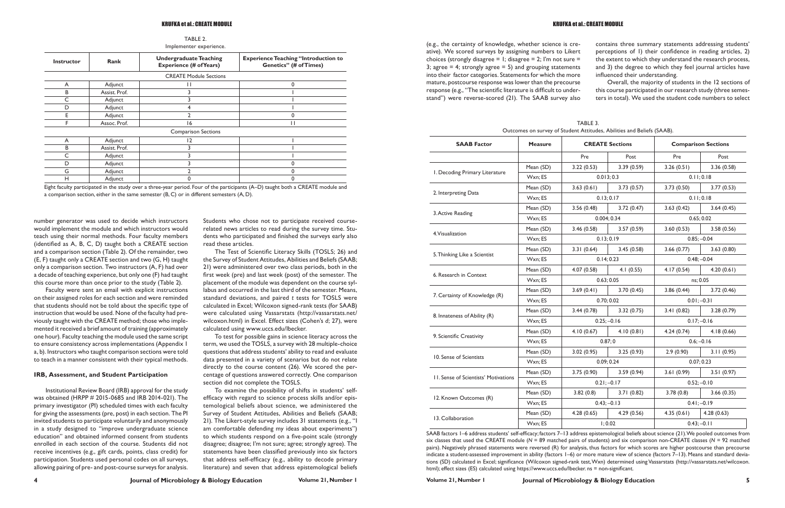### **Journal of Microbiology & Biology Education Journal of Microbiology & Biology Education**

number generator was used to decide which instructors would implement the module and which instructors would teach using their normal methods. Four faculty members (identified as A, B, C, D) taught both a CREATE section and a comparison section (Table 2). Of the remainder, two (E, F) taught only a CREATE section and two (G, H) taught only a comparison section. Two instructors (A, F) had over a decade of teaching experience, but only one (F) had taught this course more than once prior to the study (Table 2).

Faculty were sent an email with explicit instructions on their assigned roles for each section and were reminded that students should not be told about the specific type of instruction that would be used. None of the faculty had previously taught with the CREATE method; those who implemented it received a brief amount of training (approximately one hour). Faculty teaching the module used the same script to ensure consistency across implementations (Appendix 1 a, b). Instructors who taught comparison sections were told to teach in a manner consistent with their typical methods.

#### **IRB, Assessment, and Student Participation**

Institutional Review Board (IRB) approval for the study was obtained (HRPP # 2015-0685 and IRB 2014-021). The primary investigator (PI) scheduled times with each faculty for giving the assessments (pre, post) in each section. The PI invited students to participate voluntarily and anonymously in a study designed to "improve undergraduate science education" and obtained informed consent from students enrolled in each section of the course. Students did not receive incentives (e.g., gift cards, points, class credit) for participation. Students used personal codes on all surveys, allowing pairing of pre- and post-course surveys for analysis. Students who chose not to participate received courserelated news articles to read during the survey time. Students who participated and finished the surveys early also read these articles.

The Test of Scientific Literacy Skills (TOSLS; 26) and the Survey of Student Attitudes, Abilities and Beliefs (SAAB; 21) were administered over two class periods, both in the first week (pre) and last week (post) of the semester. The placement of the module was dependent on the course syllabus and occurred in the last third of the semester. Means, standard deviations, and paired *t* tests for TOSLS were calculated in Excel; Wilcoxon signed-rank tests (for SAAB) were calculated using Vassarstats (http://vassarstats.net/ wilcoxon.html) in Excel. Effect sizes (Cohen's *d*; 27), were calculated using www.uccs.edu/lbecker.

To test for possible gains in science literacy across the term, we used the TOSLS, a survey with 28 multiple-choice questions that address students' ability to read and evaluate data presented in a variety of scenarios but do not relate directly to the course content (26). We scored the percentage of questions answered correctly. One comparison section did not complete the TOSLS.

To examine the possibility of shifts in students' selfefficacy with regard to science process skills and/or epistemological beliefs about science, we administered the Survey of Student Attitudes, Abilities and Beliefs (SAAB; 21). The Likert-style survey includes 31 statements (e.g., "I am comfortable defending my ideas about experiments") to which students respond on a five-point scale (strongly disagree; disagree; I'm not sure; agree; strongly agree). The statements have been classified previously into six factors that address self-efficacy (e.g., ability to decode primary literature) and seven that address epistemological beliefs

(e.g., the certainty of knowledge, whether science is creative). We scored surveys by assigning numbers to Likert choices (strongly disagree  $= 1$ ; disagree  $= 2$ ; I'm not sure  $=$ 3; agree  $= 4$ ; strongly agree  $= 5$ ) and grouping statements into their factor categories. Statements for which the more mature, postcourse response was lower than the precourse response (e.g., "The scientific literature is difficult to understand") were reverse-scored (21). The SAAB survey also contains three summary statements addressing students' perceptions of 1) their confidence in reading articles, 2) the extent to which they understand the research process, and 3) the degree to which they feel journal articles have influenced their understanding. Overall, the majority of students in the 12 sections of this course participated in our research study (three semesters in total). We used the student code numbers to select

# Outcomes on survey of Student

#### KRUFKA et al.: CREATE MODULE NODULE AND SERVERS ON A SERVERS OF A SERVERS OF A SERVERS OF A SERVERS OF A SERVERS OF A SERVERS OF A SERVERS OF A SERVERS OF A SERVERS OF A SERVERS OF A SERVERS OF A SERVERS OF A SERVERS OF A

# TABLE 2.

Implementer experience.

| <b>Instructor</b> | Rank                          | <b>Undergraduate Teaching</b><br><b>Experience (# of Years)</b> | <b>Experience Teaching "Introduction to</b><br><b>Genetics"</b> (# of Times) |  |  |  |  |  |  |
|-------------------|-------------------------------|-----------------------------------------------------------------|------------------------------------------------------------------------------|--|--|--|--|--|--|
|                   | <b>CREATE Module Sections</b> |                                                                 |                                                                              |  |  |  |  |  |  |
| A                 | Adjunct                       |                                                                 | 0                                                                            |  |  |  |  |  |  |
| В                 | Assist. Prof.                 |                                                                 |                                                                              |  |  |  |  |  |  |
| C                 | Adjunct                       |                                                                 |                                                                              |  |  |  |  |  |  |
| D                 | Adjunct                       |                                                                 |                                                                              |  |  |  |  |  |  |
| E.                | Adjunct                       | າ                                                               |                                                                              |  |  |  |  |  |  |
| F                 | Assoc. Prof.                  | 16                                                              | Ħ                                                                            |  |  |  |  |  |  |
|                   |                               | <b>Comparison Sections</b>                                      |                                                                              |  |  |  |  |  |  |
| A                 | Adjunct                       | 12                                                              |                                                                              |  |  |  |  |  |  |
| В                 | Assist. Prof.                 |                                                                 |                                                                              |  |  |  |  |  |  |
| С                 | Adjunct                       |                                                                 |                                                                              |  |  |  |  |  |  |
| D                 | Adjunct                       |                                                                 | O                                                                            |  |  |  |  |  |  |
| G                 | Adjunct                       | $\overline{2}$                                                  | U                                                                            |  |  |  |  |  |  |
| н                 | Adjunct                       | 0                                                               |                                                                              |  |  |  |  |  |  |

Eight faculty participated in the study over a three-year period. Four of the participants (A–D) taught both a CREATE module and a comparison section, either in the same semester (B, C) or in different semesters (A, D).

| TABLE 3.                                   |  |
|--------------------------------------------|--|
| t Attitudes, Abilities and Beliefs (SAAB). |  |

| <b>SAAB Factor</b>                   | <b>Measure</b> | <b>CREATE Sections</b> |                           | <b>Comparison Sections</b> |                           |
|--------------------------------------|----------------|------------------------|---------------------------|----------------------------|---------------------------|
|                                      |                | Pre                    | Post                      | Pre                        | Post                      |
|                                      | Mean (SD)      | 3.22(0.53)             | 3.39(0.59)                | 3.26(0.51)                 | 3.36(0.58)                |
| I. Decoding Primary Literature       | Wxn; ES        | 0.013; 0.3             |                           | 0.11; 0.18                 |                           |
|                                      | Mean (SD)      |                        | $3.63(0.61)$ $3.73(0.57)$ | 3.73(0.50)                 | 3.77(0.53)                |
| 2. Interpreting Data                 | Wxn; ES        | 0.13; 0.17             |                           | 0.11; 0.18                 |                           |
|                                      | Mean (SD)      | 3.56(0.48)             | 3.72(0.47)                | 3.63(0.42)                 | 3.64(0.45)                |
| 3. Active Reading                    | Wxn; ES        | 0.004; 0.34            |                           | 0.65; 0.02                 |                           |
|                                      | Mean (SD)      |                        | $3.46(0.58)$ $3.57(0.59)$ | 3.60(0.53)                 | 3.58(0.56)                |
| 4. Visualization                     | Wxn; ES        | 0.13; 0.19             |                           | $0.85; -0.04$              |                           |
|                                      | Mean (SD)      | 3.31(0.64)             | 3.45(0.58)                | 3.66(0.77)                 | 3.63(0.80)                |
| 5. Thinking Like a Scientist         | Wxn; ES        | 0.14; 0.23             |                           | $0.48; -0.04$              |                           |
|                                      | Mean (SD)      | 4.07 (0.58)            | 4.1(0.55)                 | 4.17(0.54)                 | 4.20(0.61)                |
| 6. Research in Context               | Wxn; ES        |                        | 0.63; 0.05                | ns: 0.05                   |                           |
|                                      | Mean (SD)      |                        | $3.69(0.41)$ $3.70(0.45)$ |                            | $3.86(0.44)$ $3.72(0.46)$ |
| 7. Certainty of Knowledge (R)        | Wxn; ES        | 0.70; 0.02             |                           | $0.01; -0.31$              |                           |
|                                      | Mean (SD)      |                        | $3.44(0.78)$ $3.32(0.75)$ |                            | $3.41(0.82)$ $3.28(0.79)$ |
| 8. Innateness of Ability (R)         | Wxn; ES        | $0.25; -0.16$          |                           | $0.17; -0.16$              |                           |
|                                      | Mean (SD)      | 4.10(0.67)             | 4.10(0.81)                |                            | $4.24(0.74)$ $4.18(0.66)$ |
| 9. Scientific Creativity             | Wxn; ES        | 0.87;0                 |                           | $0.6; -0.16$               |                           |
|                                      | Mean (SD)      |                        | $3.02(0.95)$ $3.25(0.93)$ | 2.9(0.90)                  | 3.11(0.95)                |
| 10. Sense of Scientists              | Wxn; ES        | 0.09; 0.24             |                           | 0.07; 0.23                 |                           |
|                                      | Mean (SD)      |                        | $3.75(0.90)$ $3.59(0.94)$ |                            | $3.61(0.99)$ $3.51(0.97)$ |
| II. Sense of Scientists' Motivations | Wxn; ES        | $0.21; -0.17$          |                           | $0.52; -0.10$              |                           |
|                                      | Mean (SD)      |                        | $3.82(0.8)$ $3.71(0.82)$  | 3.78(0.8)                  | 3.66(0.35)                |
| 12. Known Outcomes (R)               | Wxn; ES        | $0.43; -0.13$          |                           | $0.41; -0.19$              |                           |
|                                      | Mean (SD)      | 4.28(0.65)             | 4.29(0.56)                | 4.35(0.61)                 | 4.28(0.63)                |
| 13. Collaboration                    | Wxn; ES        | 1:0.02                 |                           | $0.43; -0.11$              |                           |

html); effect sizes (ES) calculated using https://www.uccs.edu/lbecker. ns = non-significant.

**4 Volume 21, Number 1 Volume 21, Number 1 Volume 21, Number 1 Volume 21, Number 1 1, Number 1 1, Number 1 1, Number 1 1, Number 1 1, Number 1 1, Number 1 1, Number 1 1, Number 1 1, Number 1 1,** 

SAAB factors 1–6 address students' self-efficacy; factors 7–13 address epistemological beliefs about science (21). We pooled outcomes from six classes that used the CREATE module (*N* = 89 matched pairs of students) and six comparison non-CREATE classes (*N* = 92 matched pairs). Negatively phrased statements were reversed (R) for analysis, thus factors for which scores are higher postcourse than precourse indicate a student-assessed improvement in ability (factors 1–6) or more mature view of science (factors 7–13). Means and standard deviations (SD) calculated in Excel; significance (Wilcoxon signed-rank test, Wxn) determined using Vassarstats (http://vassarstats.net/wilcoxon.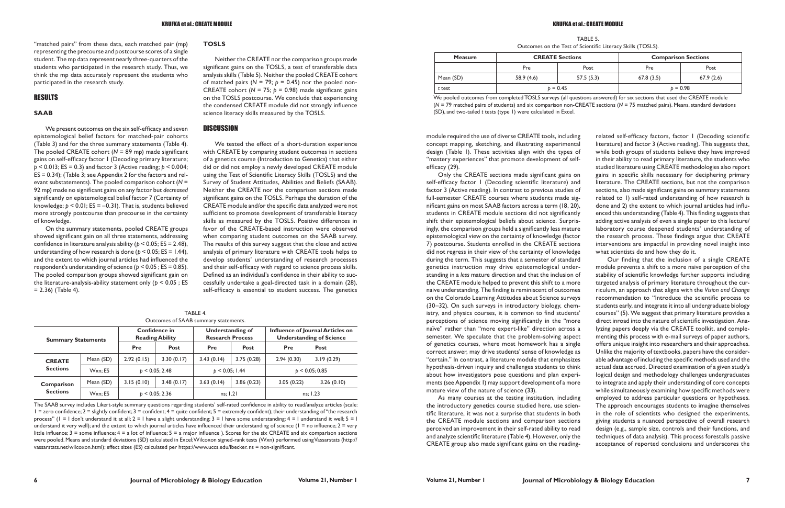"matched pairs" from these data, each matched pair (mp) representing the precourse and postcourse scores of a single student. The mp data represent nearly three-quarters of the students who participated in the research study. Thus, we think the mp data accurately represent the students who participated in the research study.

# RESULTS

### **SAAB**

On the summary statements, pooled CREATE groups showed significant gain on all three statements, addressing confidence in literature analysis ability ( $p < 0.05$ ; ES = 2.48), understanding of how research is done ( $p < 0.05$ ; ES = 1.44), and the extent to which journal articles had influenced the respondent's understanding of science ( $p < 0.05$ ; ES = 0.85). The pooled comparison groups showed significant gain on the literature-analysis-ability statement only (*p* < 0.05 ; ES  $= 2.36$ ) (Table 4).

We present outcomes on the six self-efficacy and seven epistemological belief factors for matched-pair cohorts (Table 3) and for the three summary statements (Table 4). The pooled CREATE cohort ( $N = 89$  mp) made significant gains on self-efficacy factor 1 (Decoding primary literature; *p* < 0.013; ES = 0.3) and factor 3 (Active reading; *p* < 0.004; ES = 0.34); (Table 3; see Appendix 2 for the factors and relevant substatements). The pooled comparison cohort (*N* = 92 mp) made no significant gains on any factor but *decreased* significantly on epistemological belief factor 7 (Certainty of knowledge;  $p < 0.01$ ; ES = -0.31). That is, students believed more strongly postcourse than precourse in the certainty of knowledge.

## **TOSLS**

Neither the CREATE nor the comparison groups made significant gains on the TOSLS, a test of transferable data analysis skills (Table 5). Neither the pooled CREATE cohort of matched pairs ( $N = 79$ ;  $p = 0.45$ ) nor the pooled non-CREATE cohort ( $N = 75$ ;  $p = 0.98$ ) made significant gains on the TOSLS postcourse. We conclude that experiencing the condensed CREATE module did not strongly influence science literacy skills measured by the TOSLS.

# **DISCUSSION**

We tested the effect of a short-duration experience with CREATE by comparing student outcomes in sections of a genetics course (Introduction to Genetics) that either did or did not employ a newly developed CREATE module using the Test of Scientific Literacy Skills (TOSLS) and the Survey of Student Attitudes, Abilities and Beliefs (SAAB). Neither the CREATE nor the comparison sections made significant gains on the TOSLS. Perhaps the duration of the CREATE module and/or the specific data analyzed were not sufficient to promote development of transferable literacy skills as measured by the TOSLS. Positive differences in favor of the CREATE-based instruction were observed when comparing student outcomes on the SAAB survey. The results of this survey suggest that the close and active analysis of primary literature with CREATE tools helps to develop students' understanding of research processes and their self-efficacy with regard to science process skills. Defined as an individual's confidence in their ability to successfully undertake a goal-directed task in a domain (28), self-efficacy is essential to student success. The genetics

Only the CREATE sections made significant gains on related self-efficacy factors, factor 1 (Decoding scientific literature) and factor 3 (Active reading). This suggests that, while both groups of students believe they have improved in their ability to read primary literature, the students who studied literature using CREATE methodologies also report gains in specific skills necessary for deciphering primary literature. The CREATE sections, but not the comparison sections, also made significant gains on summary statements related to 1) self-rated understanding of how research is done and 2) the extent to which journal articles had influenced this understanding (Table 4). This finding suggests that adding active analysis of even a single paper to this lecture/ laboratory course deepened students' understanding of the research process. These findings argue that CREATE interventions are impactful in providing novel insight into what scientists do and how they do it.

module required the use of diverse CREATE tools, including concept mapping, sketching, and illustrating experimental design (Table 1). These activities align with the types of "mastery experiences" that promote development of selfefficacy (29). self-efficacy factor 1 (Decoding scientific literature) and factor 3 (Active reading). In contrast to previous studies of full-semester CREATE courses where students made significant gains on most SAAB factors across a term (18, 20), students in CREATE module sections did not significantly shift their epistemological beliefs about science. Surprisingly, the comparison groups held a significantly less mature epistemological view on the certainty of knowledge (factor 7) postcourse. Students enrolled in the CREATE sections did not regress in their view of the certainty of knowledge during the term. This suggests that a semester of standard genetics instruction may drive epistemological understanding in a *less* mature direction and that the inclusion of the CREATE module helped to prevent this shift to a more naive understanding. The finding is reminiscent of outcomes on the Colorado Learning Attitudes about Science surveys (30–32). On such surveys in introductory biology, chemistry, and physics courses, it is common to find students' perceptions of science moving significantly in the "more naïve" rather than "more expert-like" direction across a semester. We speculate that the problem-solving aspect of genetics courses, where most homework has a single correct answer, may drive students' sense of knowledge as "certain." In contrast, a literature module that emphasizes hypothesis-driven inquiry and challenges students to think about how investigators pose questions and plan experiments (see Appendix 1) may support development of a more mature view of the nature of science (33). As many courses at the testing institution, including the introductory genetics course studied here, use scientific literature, it was not a surprise that students in both the CREATE module sections and comparison sections perceived an improvement in their self-rated ability to read and analyze scientific literature (Table 4). However, only the CREATE group also made significant gains on the reading-Our finding that the inclusion of a single CREATE module prevents a shift to a more naive perception of the stability of scientific knowledge further supports including targeted analysis of primary literature throughout the curriculum, an approach that aligns with the *Vision and Change* recommendation to "Introduce the scientific process to students early, and integrate it into all undergraduate biology courses" (5). We suggest that primary literature provides a direct inroad into the nature of scientific investigation. Analyzing papers deeply via the CREATE toolkit, and complementing this process with e-mail surveys of paper authors, offers unique insight into researchers and their approaches. Unlike the majority of textbooks, papers have the considerable advantage of including the specific methods used and the actual data accrued. Directed examination of a given study's logical design and methodology challenges undergraduates to integrate and apply their understanding of core concepts while simultaneously examining how specific methods were employed to address particular questions or hypotheses. The approach encourages students to imagine themselves in the role of scientists who designed the experiments, giving students a nuanced perspective of overall research design (e.g., sample size, controls and their functions, and techniques of data analysis). This process forestalls passive acceptance of reported conclusions and underscores the

TABLE 4. Outcomes of SAAB summary statements.

| <b>Summary Statements</b>        |           | Confidence in<br><b>Reading Ability</b> |             | Understanding of<br><b>Research Process</b> |            | <b>Influence of Journal Articles on</b><br><b>Understanding of Science</b> |             |
|----------------------------------|-----------|-----------------------------------------|-------------|---------------------------------------------|------------|----------------------------------------------------------------------------|-------------|
|                                  |           | Pre                                     | <b>Post</b> | Pre                                         | Post       | Pre                                                                        | <b>Post</b> |
| <b>CREATE</b><br><b>Sections</b> | Mean (SD) | 2.92(0.15)                              | 3.30(0.17)  | 3.43(0.14)                                  | 3.75(0.28) | 2.94(0.30)                                                                 | 3.19(0.29)  |
|                                  | Wxn: ES   | $p < 0.05$ ; 2.48                       |             | $p < 0.05$ ; 1.44                           |            | p < 0.05; 0.85                                                             |             |
| Comparison<br><b>Sections</b>    | Mean (SD) | 3.15(0.10)                              | 3.48(0.17)  | 3.63(0.14)                                  | 3.86(0.23) | 3.05(0.22)                                                                 | 3.26(0.10)  |
|                                  | Wxn: ES   | $p < 0.05$ ; 2.36                       |             | ns: 1.21                                    |            | ns; 1.23                                                                   |             |

The SAAB survey includes Likert-style summary questions regarding students' self-rated confidence in ability to read/analyze articles (scale:  $1 =$  zero confidence;  $2 =$  slightly confident;  $3 =$  confident;  $4 =$  quite confident;  $5 =$  extremely confident); their understanding of "the research process" (1 = I don't understand it at all; 2 = I have a slight understanding; 3 = I have some understanding; 4 = I understand it well; 5 = I understand it very well); and the extent to which journal articles have influenced their understanding of science  $(1 = no$  influence;  $2 = very$ little influence;  $3 =$  some influence;  $4 =$  a lot of influence;  $5 =$  a major influence). Scores for the six CREATE and six comparison sections were pooled. Means and standard deviations (SD) calculated in Excel; Wilcoxon signed-rank tests (Wxn) performed using Vassarstats (http:// vassarstats.net/wilcoxon.html); effect sizes (ES) calculated per https://www.uccs.edu/lbecker. ns = non-significant.

TABLE 5. Outcomes on the Test of Scientific Literacy Skills (TOSLS).

| <b>Measure</b> | <b>CREATE Sections</b> |           | <b>Comparison Sections</b> |           |
|----------------|------------------------|-----------|----------------------------|-----------|
|                | Pre                    | Post      | Pre                        | Post      |
| Mean (SD)      | 58.9(4.6)              | 57.5(5.3) | 67.8(3.5)                  | 67.9(2.6) |
| t test         | $p = 0.45$             |           | $p = 0.98$                 |           |

We pooled outcomes from completed TOSLS surveys (all questions answered) for six sections that used the CREATE module (*N* = 79 matched pairs of students) and six comparison non-CREATE sections (*N* = 75 matched pairs). Means, standard deviations (SD), and two-tailed *t* tests (type 1) were calculated in Excel.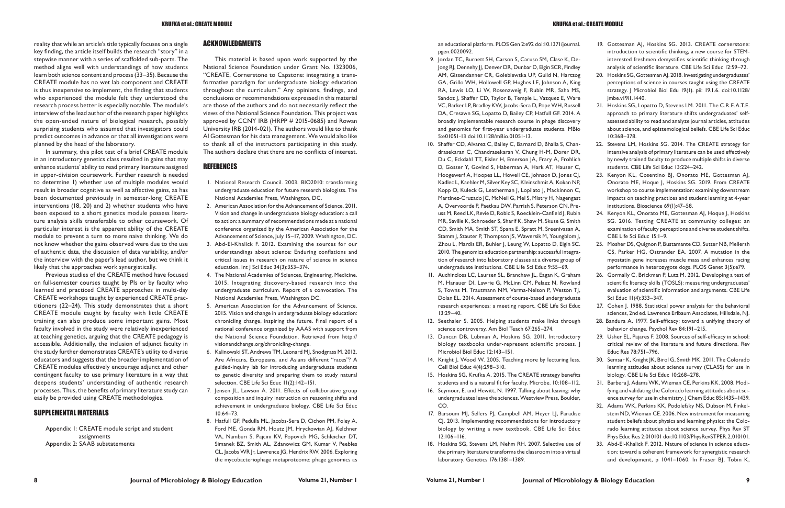reality that while an article's title typically focuses on a single key finding, the article itself builds the research "story" in a stepwise manner with a series of scaffolded sub-parts. The method aligns well with understandings of how students learn both science content and process (33–35). Because the CREATE module has no wet lab component and CREATE is thus inexpensive to implement, the finding that students who experienced the module felt they understood the research process better is especially notable. The module's interview of the lead author of the research paper highlights the open-ended nature of biological research, possibly surprising students who assumed that investigators could predict outcomes in advance or that all investigations were planned by the head of the laboratory.

In summary, this pilot test of a brief CREATE module in an introductory genetics class resulted in gains that may enhance students' ability to read primary literature assigned in upper-division coursework. Further research is needed to determine 1) whether use of multiple modules would result in broader cognitive as well as affective gains, as has been documented previously in semester-long CREATE interventions (18, 20) and 2) whether students who have been exposed to a short genetics module possess literature analysis skills transferable to other coursework. Of particular interest is the apparent ability of the CREATE module to prevent a turn to more naive thinking. We do not know whether the gains observed were due to the use of authentic data, the discussion of data variability, and/or the interview with the paper's lead author, but we think it likely that the approaches work synergistically.

Previous studies of the CREATE method have focused on full-semester courses taught by PIs or by faculty who learned and practiced CREATE approaches in multi-day CREATE workshops taught by experienced CREATE practitioners (22–24). This study demonstrates that a short CREATE module taught by faculty with little CREATE training can also produce some important gains. Most faculty involved in the study were relatively inexperienced at teaching genetics, arguing that the CREATE pedagogy is accessible. Additionally, the inclusion of adjunct faculty in the study further demonstrates CREATE's utility to diverse educators and suggests that the broader implementation of CREATE modules effectively encourage adjunct and other contingent faculty to use primary literature in a way that deepens students' understanding of authentic research processes. Thus, the benefits of primary literature study can easily be provided using CREATE methodologies.

# SUPPLEMENTAL MATERIALS

- 9. Jordan TC, Burnett SH, Carson S, Caruso SM, Clase K, De-Jong RJ, Dennehy JJ, Denver DR, Dunbar D, Elgin SCR, Findley AM, Gissendanner CR, Golebiewska UP, Guild N, Hartzog GA, Grillo WH, Hollowell GP, Hughes LE, Johnson A, King RA, Lewis LO, Li W, Rosenzweig F, Rubin MR, Saha MS, Sandoz J, Shaffer CD, Taylor B, Temple L, Vazquez E, Ware VC, Barker LP, Bradley KW, Jacobs-Sera D, Pope WH, Russell DA, Cresawn SG, Lopatto D, Bailey CP, Hatfull GF. 2014. A broadly implementable research course in phage discovery and genomics for first-year undergraduate students. MBio 5:e01051-13 doi:10.1128/mBio.01051-13. analysis of scientific literature. CBE Life Sci Educ 12:59–72. 20. Hoskins SG, Gottesman AJ. 2018. Investigating undergraduates' perceptions of science in courses taught using the CREATE strategy. J Microbiol Biol Edu 19(1). pii: 19.1.6. doi:10.1128/ imbe.v19i1.1440. 21. Hoskins SG, Lopatto D, Stevens LM. 2011. The C.R.E.A.T.E. approach to primary literature shifts undergraduates' selfassessed ability to read and analyze journal articles, attitudes about science, and epistemological beliefs. CBE Life Sci Educ 10:368–378.
- 10. Shaffer CD, Alvarez C, Bailey C, Barnard D, Bhalla S, Chandrasekaran C, Chandrasekaran V, Chung H-M, Dorer DR, Du C, Eckdahl TT, Eisler H, Emerson JA, Frary A, Frohlich D, Gosser Y, Govind S, Haberman A, Hark AT, Hauser C, Hoogewerf A, Hoopes LL, Howell CE, Johnson D, Jones CJ, Kadlec L, Kaehler M, Silver Key SC, Kleinschmit A, Kokan NP, Kopp O, Kuleck G, Leatherman J, Lopilato J, Mackinnon C, Martinez-Cruzado JC, McNeil G, Mel S, Mistry H, Nagengast A, Overvoorde P, Paetkau DW, Parrish S, Peterson CN, Preuss M, Reed LK, Revie D, Robic S, Roecklein-Canfield J, Rubin MR, Saville K, Schroeder S, Sharif K, Shaw M, Skuse G, Smith CD, Smith MA, Smith ST, Spana E, Spratt M, Sreenivasan A, Stamm J, Szauter P, Thompson JS, Wawersik M, Youngblom J, Zhou L, Mardis ER, Buhler J, Leung W, Lopatto D, Elgin SC. 2010. The genomics education partnership: successful integration of research into laboratory classes at a diverse group of undergraduate institutions. CBE Life Sci Educ 9:55–69. 22. Stevens LM, Hoskins SG. 2014. The CREATE strategy for intensive analysis of primary literature can be used effectively by newly trained faculty to produce multiple shifts in diverse students. CBE Life Sci Educ 13:224–242. 23. Kenyon KL, Cosentino BJ, Onorato ME, Gottesman AJ, Onorato ME, Hoque J, Hoskins SG. 2019. From CREATE workshop to course implementation: examining downstream impacts on teaching practices and student learning at 4-year institutions. Bioscience 69(1):47–58. 24. Kenyon KL, Onorato ME, Gottesman AJ, Hoque J, Hoskins SG. 2016. Testing CREATE at community colleges: an examination of faculty perceptions and diverse student shifts. CBE Life Sci Educ 15:1–9. 25. Mosher DS, Quignon P, Bustamante CD, Sutter NB, Mellersh CS, Parker HG, Ostrander EA. 2007. A mutation in the myostatin gene increases muscle mass and enhances racing performance in heterozygote dogs. PLOS Genet 3(5):e79.
- 11. Auchincloss LC, Laursen SL, Branchaw JL, Eagan K, Graham M, Hanauer DI, Lawrie G, McLinn CM, Pelaez N, Rowland S, Towns M, Trautmann NM, Varma-Nelson P, Weston TJ, Dolan EL. 2014. Assessment of course-based undergraduate research experiences: a meeting report. CBE Life Sci Educ 13:29–40. 26. Gormally C, Brickman P, Lutz M. 2012. Developing a test of scientific literacy skills (TOSLS): measuring undergraduates' evaluation of scientific information and arguments. CBE Life Sci Educ 11(4):333–347. 27. Cohen J. 1988. Statistical power analysis for the behavioral sciences, 2nd ed. Lawrence Erlbaum Associates, Hillsdale, NJ.
- 12. Seethaler S. 2005. Helping students make links through science controversy. Am Biol Teach 67:265–274. 28. Bandura A. 1977. Self-efficacy: toward a unifying theory of behavior change. Psychol Rev 84:191–215.
- 13. Duncan DB, Lubman A, Hoskins SG. 2011. Introductory biology textbooks under-represent scientific process. | Microbiol Biol Educ 12:143–151. 29. Usher EL, Pajares F. 2008. Sources of self-efficacy in school: critical review of the literature and future directions. Rev Educ Res 78:751–796.
- 14. Knight J, Wood W. 2005. Teaching more by lecturing less. Cell Biol Educ 4(4):298–310. 15. Hoskins SG, Krufka A. 2015. The CREATE strategy benefits 30. Semsar K, Knight JK, Birol G, Smith MK. 2011. The Colorado learning attitudes about science survey (CLASS) for use in biology. CBE Life Sci Educ 10:268–278.
- students and is a natural fit for faculty. Microbe. 10:108–112.
- 16. Seymour, E. and Hewitt, N. 1997. Talking about leaving: why undergraduates leave the sciences. Westview Press, Boulder, CO. 31. Barbera J, Adams WK, Wieman CE, Perkins KK. 2008. Modifying and validating the Colorado learning attitudes about science survey for use in chemistry. | Chem Educ 85:1435-1439. 32. Adams WK, Perkins KK, Podolefsky NS, Dubson M, Finkel-
- 17. Barsoum MJ, Sellers PJ, Campbell AM, Heyer LJ, Paradise CJ. 2013. Implementing recommendations for introductory biology by writing a new textbook. CBE Life Sci Educ 12:106–116. stein ND, Wieman CE. 2006. New instrument for measuring student beliefs about physics and learning physics: the Colorado learning attitudes about science survey. Phys Rev ST Phys Educ Res 2:010101 doi:10.1103/PhysRevSTPER.2.010101.
- 18. Hoskins SG, Stevens LM, Nehm RH. 2007. Selective use of the primary literature transforms the classroom into a virtual laboratory. Genetics 176:1381–1389. 33. Abd-El-Khalick F. 2012. Nature of science in science education: toward a coherent framework for synergistic research and development, p 1041-1060. In Fraser BJ, Tobin K,

Appendix 1: CREATE module script and student assignments Appendix 2: SAAB substatements

# ACKNOWLEDGMENTS

This material is based upon work supported by the National Science Foundation under Grant No. 1323006, "CREATE, Cornerstone to Capstone: integrating a transformative paradigm for undergraduate biology education throughout the curriculum." Any opinions, findings, and conclusions or recommendations expressed in this material are those of the authors and do not necessarily reflect the views of the National Science Foundation. This project was approved by CCNY IRB (HRPP # 2015-0685) and Rowan University IRB (2014-021). The authors would like to thank Al Gottesman for his data management. We would also like to thank all of the instructors participating in this study. The authors declare that there are no conflicts of interest.

# REFERENCES

- 1. National Research Council. 2003. BIO2010: transforming undergraduate education for future research biologists. The National Academies Press, Washington, DC.
- 2. American Association for the Advancement of Science. 2011. Vision and change in undergraduate biology education: a call to action: a summary of recommendations made at a national conference organized by the American Association for the Advancement of Science, July 15–17, 2009. Washington, DC.
- 3. Abd-El-Khalick F. 2012. Examining the sources for our understandings about science: Enduring conflations and critical issues in research on nature of science in science education. Int | Sci Educ 34(3):353-374.
- 4. The National Academies of Sciences, Engineering, Medicine. 2015. Integrating discovery-based research into the undergraduate curriculum. Report of a convocation. The National Academies Press, Washington DC.
- 5. American Association for the Advancement of Science. 2015. Vision and change in undergraduate biology education: chronicling change, inspiring the future. Final report of a national conference organized by AAAS with support from the National Science Foundation. Retrieved from http:// visionandchange.org/chronicling-change.
- 6. Kalinowski ST, Andrews TM, Leonard MJ, Snodgrass M. 2012. Are Africans, Europeans, and Asians different "races"? A guided-inquiry lab for introducing undergraduate students to genetic diversity and preparing them to study natural selection. CBE Life Sci Educ 11(2):142–151.
- 7. Jensen JL, Lawson A. 2011. Effects of collaborative group composition and inquiry instruction on reasoning shifts and achievement in undergraduate biology. CBE Life Sci Educ 10:64–73.
- 8. Hatfull GF, Pedulla ML, Jacobs-Sera D, Cichon PM, Foley A, Ford ME, Gonda RM, Houtz JM, Hryckowian AJ, Kelchner VA, Namburi S, Pajcini KV, Popovich MG, Schleicher DT, Simanek BZ, Smith AL, Zdanowicz GM, Kumar V, Peebles CL, Jacobs WR Jr, Lawrence JG, Hendrix RW. 2006. Exploring the mycobacteriophage metaproteome: phage genomics as

an educational platform. PLOS Gen 2:e92 doi:10.1371/journal. pgen.0020092.

19. Gottesman AJ, Hoskins SG. 2013. CREATE cornerstone: introduction to scientific thinking, a new course for STEMinterested freshmen demystifies scientific thinking through